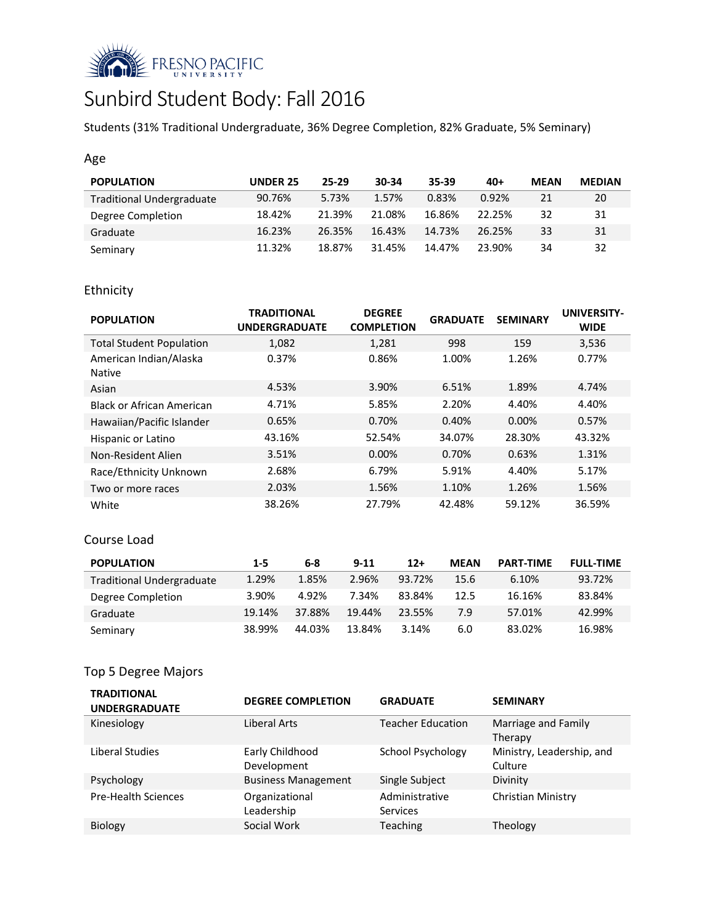

# Sunbird Student Body: Fall 2016

Students (31% Traditional Undergraduate, 36% Degree Completion, 82% Graduate, 5% Seminary)

## Age

| <b>POPULATION</b>                | <b>UNDER 25</b> | $25-29$ | 30-34  | 35-39  | $40+$  | <b>MEAN</b> | <b>MEDIAN</b> |
|----------------------------------|-----------------|---------|--------|--------|--------|-------------|---------------|
| <b>Traditional Undergraduate</b> | 90.76%          | 5.73%   | 1.57%  | 0.83%  | 0.92%  | 21          | 20            |
| Degree Completion                | 18.42%          | 21.39%  | 21.08% | 16.86% | 22.25% | 32          | 31            |
| Graduate                         | 16.23%          | 26.35%  | 16.43% | 14.73% | 26.25% | 33          | 31            |
| Seminary                         | 11.32%          | 18.87%  | 31.45% | 14.47% | 23.90% | 34          | 32            |

## Ethnicity

| <b>POPULATION</b>                       | <b>TRADITIONAL</b><br><b>UNDERGRADUATE</b> | <b>DEGREE</b><br><b>COMPLETION</b> | <b>GRADUATE</b> | <b>SEMINARY</b> | <b>UNIVERSITY-</b><br><b>WIDE</b> |
|-----------------------------------------|--------------------------------------------|------------------------------------|-----------------|-----------------|-----------------------------------|
| <b>Total Student Population</b>         | 1,082                                      | 1,281                              | 998             | 159             | 3,536                             |
| American Indian/Alaska<br><b>Native</b> | 0.37%                                      | 0.86%                              | 1.00%           | 1.26%           | 0.77%                             |
| Asian                                   | 4.53%                                      | 3.90%                              | 6.51%           | 1.89%           | 4.74%                             |
| <b>Black or African American</b>        | 4.71%                                      | 5.85%                              | 2.20%           | 4.40%           | 4.40%                             |
| Hawaiian/Pacific Islander               | 0.65%                                      | 0.70%                              | 0.40%           | $0.00\%$        | 0.57%                             |
| Hispanic or Latino                      | 43.16%                                     | 52.54%                             | 34.07%          | 28.30%          | 43.32%                            |
| Non-Resident Alien                      | 3.51%                                      | $0.00\%$                           | 0.70%           | 0.63%           | 1.31%                             |
| Race/Ethnicity Unknown                  | 2.68%                                      | 6.79%                              | 5.91%           | 4.40%           | 5.17%                             |
| Two or more races                       | 2.03%                                      | 1.56%                              | 1.10%           | 1.26%           | 1.56%                             |
| White                                   | 38.26%                                     | 27.79%                             | 42.48%          | 59.12%          | 36.59%                            |

## Course Load

| <b>POPULATION</b>                | $1 - 5$ | 6-8    | $9 - 11$ | $12+$  | <b>MEAN</b> | <b>PART-TIME</b> | <b>FULL-TIME</b> |
|----------------------------------|---------|--------|----------|--------|-------------|------------------|------------------|
| <b>Traditional Undergraduate</b> | 1.29%   | 1.85%  | 2.96%    | 93.72% | 15.6        | 6.10%            | 93.72%           |
| Degree Completion                | 3.90%   | 4.92%  | 7.34%    | 83.84% | 12.5        | 16.16%           | 83.84%           |
| Graduate                         | 19.14%  | 37.88% | 19.44%   | 23.55% | 7.9         | 57.01%           | 42.99%           |
| Seminary                         | 38.99%  | 44.03% | 13.84%   | 3.14%  | 6.0         | 83.02%           | 16.98%           |

## Top 5 Degree Majors

| <b>TRADITIONAL</b><br><b>UNDERGRADUATE</b> | <b>DEGREE COMPLETION</b>       | <b>GRADUATE</b>                   | <b>SEMINARY</b>                      |
|--------------------------------------------|--------------------------------|-----------------------------------|--------------------------------------|
| Kinesiology                                | Liberal Arts                   | <b>Teacher Education</b>          | Marriage and Family<br>Therapy       |
| Liberal Studies                            | Early Childhood<br>Development | School Psychology                 | Ministry, Leadership, and<br>Culture |
| Psychology                                 | <b>Business Management</b>     | Single Subject                    | Divinity                             |
| <b>Pre-Health Sciences</b>                 | Organizational<br>Leadership   | Administrative<br><b>Services</b> | Christian Ministry                   |
| <b>Biology</b>                             | Social Work                    | <b>Teaching</b>                   | Theology                             |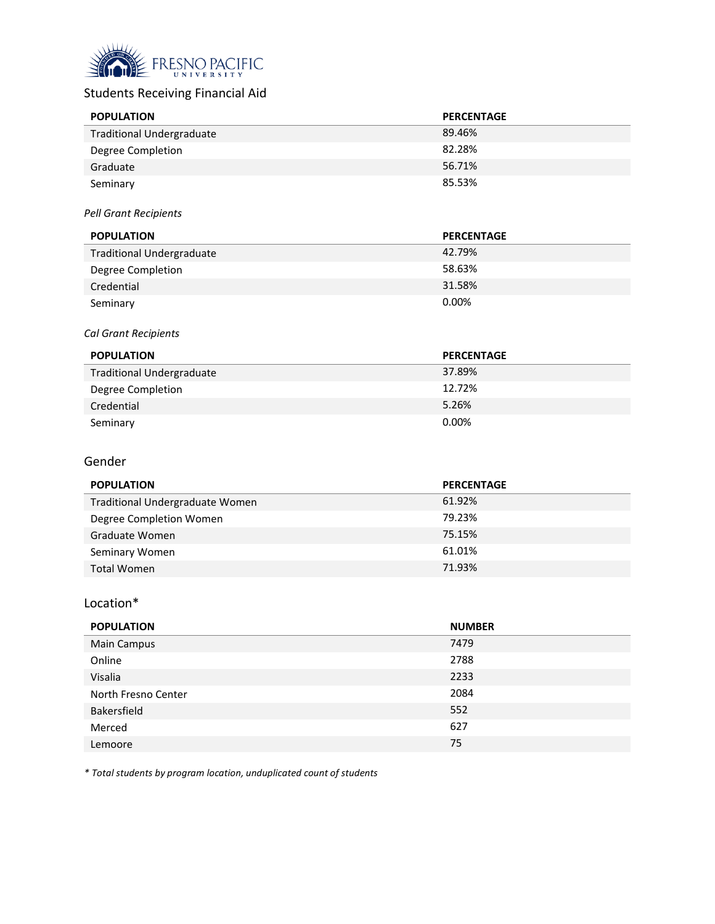

# Students Receiving Financial Aid

| <b>POPULATION</b>                | <b>PERCENTAGE</b> |
|----------------------------------|-------------------|
| <b>Traditional Undergraduate</b> | 89.46%            |
| Degree Completion                | 82.28%            |
| Graduate                         | 56.71%            |
| Seminary                         | 85.53%            |

#### *Pell Grant Recipients*

| <b>POPULATION</b>                | <b>PERCENTAGE</b> |
|----------------------------------|-------------------|
| <b>Traditional Undergraduate</b> | 42.79%            |
| Degree Completion                | 58.63%            |
| Credential                       | 31.58%            |
| Seminary                         | 0.00%             |

#### *Cal Grant Recipients*

| <b>POPULATION</b>                | <b>PERCENTAGE</b> |
|----------------------------------|-------------------|
| <b>Traditional Undergraduate</b> | 37.89%            |
| Degree Completion                | 12.72%            |
| Credential                       | 5.26%             |
| Seminary                         | 0.00%             |

#### Gender

| <b>POPULATION</b>               | <b>PERCENTAGE</b> |
|---------------------------------|-------------------|
| Traditional Undergraduate Women | 61.92%            |
| Degree Completion Women         | 79.23%            |
| Graduate Women                  | 75.15%            |
| Seminary Women                  | 61.01%            |
| <b>Total Women</b>              | 71.93%            |

## Location\*

| <b>POPULATION</b>   | <b>NUMBER</b> |
|---------------------|---------------|
| <b>Main Campus</b>  | 7479          |
| Online              | 2788          |
| Visalia             | 2233          |
| North Fresno Center | 2084          |
| Bakersfield         | 552           |
| Merced              | 627           |
| Lemoore             | 75            |

*\* Total students by program location, unduplicated count of students*